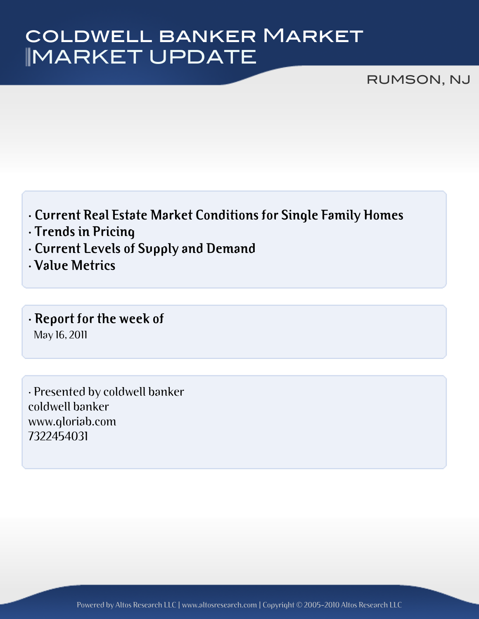# MARKET UPDATE coldwell banker Market

#### RUMSON, NJ

- **· Current Real Estate Market Conditions for Single Family Homes**
- **· Trends in Pricing**
- **· Current Levels of Supply and Demand**
- **· Value Metrics**
- **· Report for the week of** May 16, 2011

· Presented by coldwell banker coldwell banker www.gloriab.com 7322454031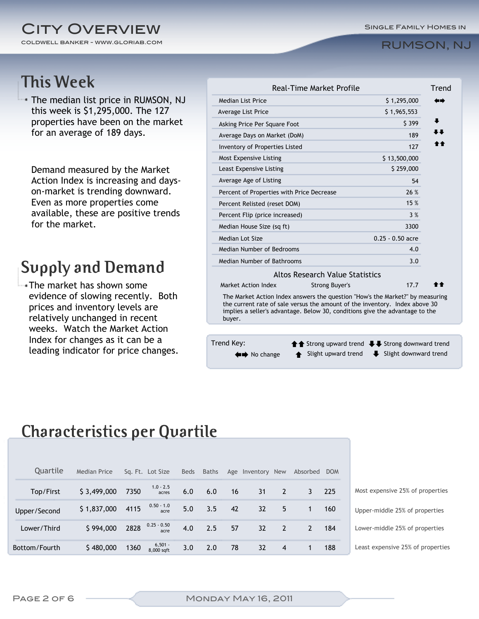#### coldwell banker - www.gloriab.com **CITY OVERVIEW**

#### RUMSON, NJ

### **This Week**

The median list price in RUMSON, NJ this week is \$1,295,000. The 127 properties have been on the market for an average of 189 days.

Demand measured by the Market Action Index is increasing and dayson-market is trending downward. Even as more properties come available, these are positive trends for the market.

# **Supply and Demand**

The market has shown some evidence of slowing recently. Both prices and inventory levels are relatively unchanged in recent weeks. Watch the Market Action Index for changes as it can be a leading indicator for price changes.

| <b>Median List Price</b>                                                                                                                                                                                                                               |                                                        | \$1,295,000        | 60 |  |  |  |
|--------------------------------------------------------------------------------------------------------------------------------------------------------------------------------------------------------------------------------------------------------|--------------------------------------------------------|--------------------|----|--|--|--|
| <b>Average List Price</b>                                                                                                                                                                                                                              |                                                        | \$1,965,553        |    |  |  |  |
| Asking Price Per Square Foot                                                                                                                                                                                                                           |                                                        | \$399              |    |  |  |  |
| Average Days on Market (DoM)                                                                                                                                                                                                                           |                                                        | 189                |    |  |  |  |
| <b>Inventory of Properties Listed</b>                                                                                                                                                                                                                  |                                                        | 127                |    |  |  |  |
| Most Expensive Listing                                                                                                                                                                                                                                 |                                                        | \$13,500,000       |    |  |  |  |
| Least Expensive Listing                                                                                                                                                                                                                                |                                                        | \$259,000          |    |  |  |  |
| Average Age of Listing                                                                                                                                                                                                                                 |                                                        | 54                 |    |  |  |  |
| Percent of Properties with Price Decrease                                                                                                                                                                                                              | 26 %                                                   |                    |    |  |  |  |
| Percent Relisted (reset DOM)                                                                                                                                                                                                                           | 15 %                                                   |                    |    |  |  |  |
| Percent Flip (price increased)                                                                                                                                                                                                                         | 3%                                                     |                    |    |  |  |  |
| Median House Size (sq ft)                                                                                                                                                                                                                              |                                                        | 3300               |    |  |  |  |
| Median Lot Size                                                                                                                                                                                                                                        |                                                        | $0.25 - 0.50$ acre |    |  |  |  |
| Median Number of Bedrooms                                                                                                                                                                                                                              |                                                        | 4.0                |    |  |  |  |
| Median Number of Bathrooms                                                                                                                                                                                                                             |                                                        | 3.0                |    |  |  |  |
|                                                                                                                                                                                                                                                        | Altos Research Value Statistics                        |                    |    |  |  |  |
| Market Action Index                                                                                                                                                                                                                                    | <b>Strong Buyer's</b>                                  | 17.7               | 合合 |  |  |  |
| The Market Action Index answers the question "How's the Market?" by measuring<br>the current rate of sale versus the amount of the inventory. Index above 30<br>implies a seller's advantage. Below 30, conditions give the advantage to the<br>buyer. |                                                        |                    |    |  |  |  |
|                                                                                                                                                                                                                                                        |                                                        |                    |    |  |  |  |
| Trend Key:                                                                                                                                                                                                                                             | <b>↑↑</b> Strong upward trend ↓↓ Strong downward trend |                    |    |  |  |  |

#### **Characteristics per Quartile**

| Quartile      | Median Price |      | Sq. Ft. Lot Size          | Beds | Baths |    | Age Inventory New |                | Absorbed | <b>DOM</b> |                                   |
|---------------|--------------|------|---------------------------|------|-------|----|-------------------|----------------|----------|------------|-----------------------------------|
| Top/First     | \$3,499,000  | 7350 | $1.0 - 2.5$<br>acres      | 6.0  | 6.0   | 16 | 31                | $\overline{2}$ | 3        | 225        | Most expensive 25% of properties  |
| Upper/Second  | \$1,837,000  | 4115 | $0.50 - 1.0$<br>acre      | 5.0  | 3.5   | 42 | 32                | 5              |          | 160        | Upper-middle 25% of properties    |
| Lower/Third   | \$994,000    |      | 2828 $0.25 - 0.50$ acre   | 4.0  | 2.5   | 57 | 32                | $\overline{2}$ | 2        | 184        | Lower-middle 25% of properties    |
| Bottom/Fourth | \$480,000    | 1360 | $6,501 -$<br>$8.000$ saft | 3.0  | 2.0   | 78 | 32                | $\overline{4}$ |          | 188        | Least expensive 25% of properties |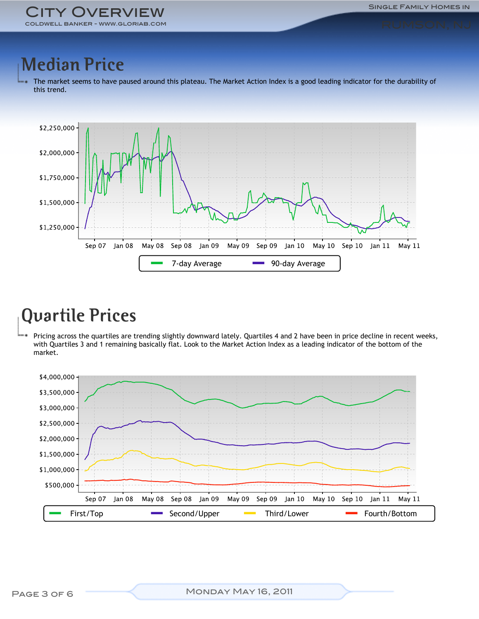# **Median Price**

The market seems to have paused around this plateau. The Market Action Index is a good leading indicator for the durability of this trend.



# **Quartile Prices**

Pricing across the quartiles are trending slightly downward lately. Quartiles 4 and 2 have been in price decline in recent weeks, with Quartiles 3 and 1 remaining basically flat. Look to the Market Action Index as a leading indicator of the bottom of the market.

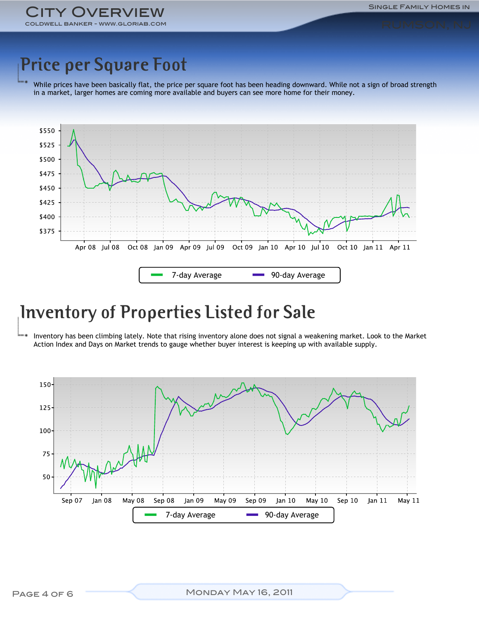ORIAB.COM **OVERVIEW** 

# **Price per Square Foot**

While prices have been basically flat, the price per square foot has been heading downward. While not a sign of broad strength in a market, larger homes are coming more available and buyers can see more home for their money.



### **Inventory of Properties Listed for Sale**

Inventory has been climbing lately. Note that rising inventory alone does not signal a weakening market. Look to the Market Action Index and Days on Market trends to gauge whether buyer interest is keeping up with available supply.

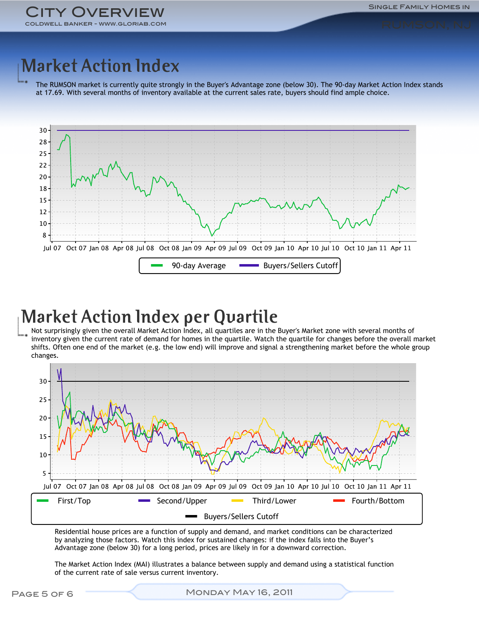Single Family Homes in

# **Market Action Index**

The RUMSON market is currently quite strongly in the Buyer's Advantage zone (below 30). The 90-day Market Action Index stands at 17.69. With several months of inventory available at the current sales rate, buyers should find ample choice.



### **Market Action Index per Quartile**

Not surprisingly given the overall Market Action Index, all quartiles are in the Buyer's Market zone with several months of inventory given the current rate of demand for homes in the quartile. Watch the quartile for changes before the overall market shifts. Often one end of the market (e.g. the low end) will improve and signal a strengthening market before the whole group changes.



Residential house prices are a function of supply and demand, and market conditions can be characterized by analyzing those factors. Watch this index for sustained changes: if the index falls into the Buyer's Advantage zone (below 30) for a long period, prices are likely in for a downward correction.

The Market Action Index (MAI) illustrates a balance between supply and demand using a statistical function of the current rate of sale versus current inventory.